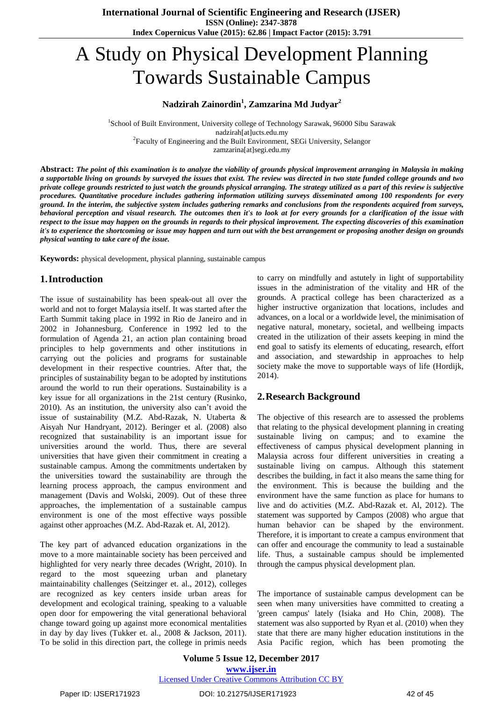# A Study on Physical Development Planning Towards Sustainable Campus

#### **Nadzirah Zainordin<sup>1</sup> , Zamzarina Md Judyar<sup>2</sup>**

<sup>1</sup>School of Built Environment, University college of Technology Sarawak, 96000 Sibu Sarawak nadzirah[at]ucts.edu.my <sup>2</sup> Faculty of Engineering and the Built Environment, SEGi University, Selangor zamzarina[at]segi.edu.my

Abstract: The point of this examination is to analyze the viability of grounds physical improvement arranging in Malaysia in making a supportable living on grounds by surveyed the issues that exist. The review was directed in two state funded college grounds and two private college grounds restricted to just watch the grounds physical arranging. The strategy utilized as a part of this review is subjective procedures. Quantitative procedure includes gathering information utilizing surveys disseminated among 100 respondents for every ground. In the interim, the subjective system includes gathering remarks and conclusions from the respondents acquired from surveys, behavioral perception and visual research. The outcomes then it's to look at for every grounds for a clarification of the issue with respect to the issue may happen on the grounds in regards to their physical improvement. The expecting discoveries of this examination it's to experience the shortcoming or issue may happen and turn out with the best arrangement or proposing another design on grounds *physical wanting to take care of the issue.*

**Keywords:** physical development, physical planning, sustainable campus

#### **1.Introduction**

The issue of sustainability has been speak-out all over the world and not to forget Malaysia itself. It was started after the Earth Summit taking place in 1992 in Rio de Janeiro and in 2002 in Johannesburg. Conference in 1992 led to the formulation of Agenda 21, an action plan containing broad principles to help governments and other institutions in carrying out the policies and programs for sustainable development in their respective countries. After that, the principles of sustainability began to be adopted by institutions around the world to run their operations. Sustainability is a key issue for all organizations in the 21st century (Rusinko, 2010). As an institution, the university also can't avoid the issue of sustainability (M.Z. Abd-Razak, N. Utaberta & Aisyah Nur Handryant, 2012). Beringer et al. (2008) also recognized that sustainability is an important issue for universities around the world. Thus, there are several universities that have given their commitment in creating a sustainable campus. Among the commitments undertaken by the universities toward the sustainability are through the learning process approach, the campus environment and management (Davis and Wolski, 2009). Out of these three approaches, the implementation of a sustainable campus environment is one of the most effective ways possible against other approaches (M.Z. Abd-Razak et. Al, 2012).

The key part of advanced education organizations in the move to a more maintainable society has been perceived and highlighted for very nearly three decades (Wright, 2010). In regard to the most squeezing urban and planetary maintainability challenges (Seitzinger et. al., 2012), colleges are recognized as key centers inside urban areas for development and ecological training, speaking to a valuable open door for empowering the vital generational behavioral change toward going up against more economical mentalities in day by day lives (Tukker et. al., 2008 & Jackson, 2011). To be solid in this direction part, the college in primis needs

to carry on mindfully and astutely in light of supportability issues in the administration of the vitality and HR of the grounds. A practical college has been characterized as a higher instructive organization that locations, includes and advances, on a local or a worldwide level, the minimisation of negative natural, monetary, societal, and wellbeing impacts created in the utilization of their assets keeping in mind the end goal to satisfy its elements of educating, research, effort and association, and stewardship in approaches to help society make the move to supportable ways of life (Hordijk, 2014).

## **2.Research Background**

The objective of this research are to assessed the problems that relating to the physical development planning in creating sustainable living on campus; and to examine the effectiveness of campus physical development planning in Malaysia across four different universities in creating a sustainable living on campus. Although this statement describes the building, in fact it also means the same thing for the environment. This is because the building and the environment have the same function as place for humans to live and do activities (M.Z. Abd-Razak et. Al, 2012). The statement was supported by Campos (2008) who argue that human behavior can be shaped by the environment. Therefore, it is important to create a campus environment that can offer and encourage the community to lead a sustainable life. Thus, a sustainable campus should be implemented through the campus physical development plan.

The importance of sustainable campus development can be seen when many universities have committed to creating a 'green campus' lately (Isiaka and Ho Chin, 2008). The statement was also supported by Ryan et al. (2010) when they state that there are many higher education institutions in the Asia Pacific region, which has been promoting the

**Volume 5 Issue 12, December 2017 [www.ijser.in](file:///G:\www.ijser.in\Documents\www.ijser.in)** [Licensed Under Creative Commons Attribution CC BY](http://creativecommons.org/licenses/by/4.0/)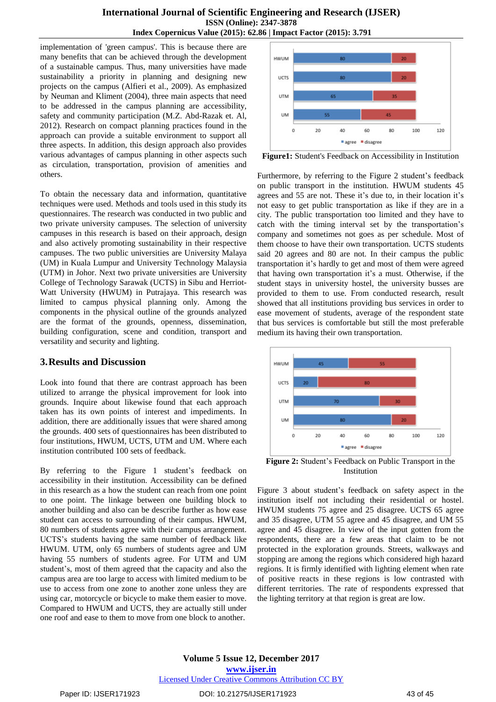implementation of 'green campus'. This is because there are many benefits that can be achieved through the development of a sustainable campus. Thus, many universities have made sustainability a priority in planning and designing new projects on the campus (Alfieri et al., 2009). As emphasized by Neuman and Kliment (2004), three main aspects that need to be addressed in the campus planning are accessibility, safety and community participation (M.Z. Abd-Razak et. Al, 2012). Research on compact planning practices found in the approach can provide a suitable environment to support all three aspects. In addition, this design approach also provides various advantages of campus planning in other aspects such as circulation, transportation, provision of amenities and others.

To obtain the necessary data and information, quantitative techniques were used. Methods and tools used in this study its questionnaires. The research was conducted in two public and two private university campuses. The selection of university campuses in this research is based on their approach, design and also actively promoting sustainability in their respective campuses. The two public universities are University Malaya (UM) in Kuala Lumpur and University Technology Malaysia (UTM) in Johor. Next two private universities are University College of Technology Sarawak (UCTS) in Sibu and Herriot-Watt University (HWUM) in Putrajaya. This research was limited to campus physical planning only. Among the components in the physical outline of the grounds analyzed are the format of the grounds, openness, dissemination, building configuration, scene and condition, transport and versatility and security and lighting.

#### **3.Results and Discussion**

Look into found that there are contrast approach has been utilized to arrange the physical improvement for look into grounds. Inquire about likewise found that each approach taken has its own points of interest and impediments. In addition, there are additionally issues that were shared among the grounds. 400 sets of questionnaires has been distributed to four institutions, HWUM, UCTS, UTM and UM. Where each institution contributed 100 sets of feedback.

By referring to the Figure 1 student's feedback on accessibility in their institution. Accessibility can be defined in this research as a how the student can reach from one point to one point. The linkage between one building block to another building and also can be describe further as how ease student can access to surrounding of their campus. HWUM, 80 numbers of students agree with their campus arrangement. UCTS's students having the same number of feedback like HWUM. UTM, only 65 numbers of students agree and UM having 55 numbers of students agree. For UTM and UM student's, most of them agreed that the capacity and also the campus area are too large to access with limited medium to be use to access from one zone to another zone unless they are using car, motorcycle or bicycle to make them easier to move. Compared to HWUM and UCTS, they are actually still under one roof and ease to them to move from one block to another.



**Figure1:** Student's Feedback on Accessibility in Institution

Furthermore, by referring to the Figure 2 student's feedback on public transport in the institution. HWUM students 45 agrees and 55 are not. These it's due to, in their location it's not easy to get public transportation as like if they are in a city. The public transportation too limited and they have to catch with the timing interval set by the transportation's company and sometimes not goes as per schedule. Most of them choose to have their own transportation. UCTS students said 20 agrees and 80 are not. In their campus the public transportation it's hardly to get and most of them were agreed that having own transportation it's a must. Otherwise, if the student stays in university hostel, the university busses are provided to them to use. From conducted research, result showed that all institutions providing bus services in order to ease movement of students, average of the respondent state that bus services is comfortable but still the most preferable medium its having their own transportation.



**Figure 2:** Student's Feedback on Public Transport in the Institution

Figure 3 about student's feedback on safety aspect in the institution itself not including their residential or hostel. HWUM students 75 agree and 25 disagree. UCTS 65 agree and 35 disagree, UTM 55 agree and 45 disagree, and UM 55 agree and 45 disagree. In view of the input gotten from the respondents, there are a few areas that claim to be not protected in the exploration grounds. Streets, walkways and stopping are among the regions which considered high hazard regions. It is firmly identified with lighting element when rate of positive reacts in these regions is low contrasted with different territories. The rate of respondents expressed that the lighting territory at that region is great are low.

**Volume 5 Issue 12, December 2017 [www.ijser.in](file:///G:\www.ijser.in\Documents\www.ijser.in)** [Licensed Under Creative Commons Attribution CC BY](http://creativecommons.org/licenses/by/4.0/)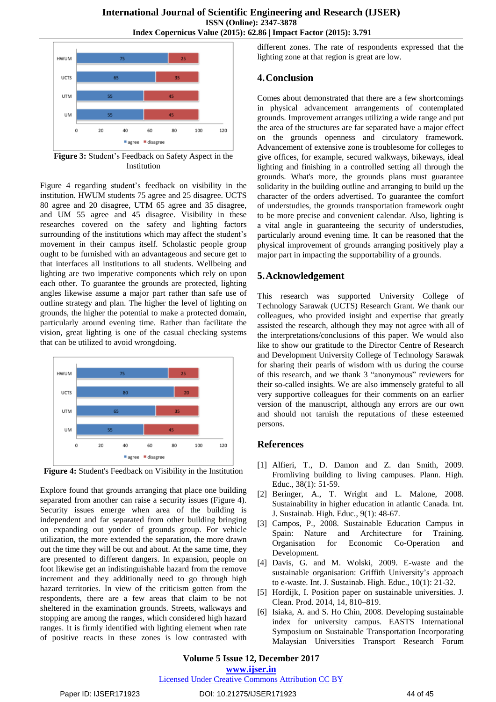

**Figure 3:** Student's Feedback on Safety Aspect in the Institution

Figure 4 regarding student's feedback on visibility in the institution. HWUM students 75 agree and 25 disagree. UCTS 80 agree and 20 disagree, UTM 65 agree and 35 disagree, and UM 55 agree and 45 disagree. Visibility in these researches covered on the safety and lighting factors surrounding of the institutions which may affect the student's movement in their campus itself. Scholastic people group ought to be furnished with an advantageous and secure get to that interfaces all institutions to all students. Wellbeing and lighting are two imperative components which rely on upon each other. To guarantee the grounds are protected, lighting angles likewise assume a major part rather than safe use of outline strategy and plan. The higher the level of lighting on grounds, the higher the potential to make a protected domain, particularly around evening time. Rather than facilitate the vision, great lighting is one of the casual checking systems that can be utilized to avoid wrongdoing.



**Figure 4:** Student's Feedback on Visibility in the Institution

Explore found that grounds arranging that place one building separated from another can raise a security issues (Figure 4). Security issues emerge when area of the building is independent and far separated from other building bringing on expanding out yonder of grounds group. For vehicle utilization, the more extended the separation, the more drawn out the time they will be out and about. At the same time, they are presented to different dangers. In expansion, people on foot likewise get an indistinguishable hazard from the remove increment and they additionally need to go through high hazard territories. In view of the criticism gotten from the respondents, there are a few areas that claim to be not sheltered in the examination grounds. Streets, walkways and stopping are among the ranges, which considered high hazard ranges. It is firmly identified with lighting element when rate of positive reacts in these zones is low contrasted with different zones. The rate of respondents expressed that the lighting zone at that region is great are low.

# **4.Conclusion**

Comes about demonstrated that there are a few shortcomings in physical advancement arrangements of contemplated grounds. Improvement arranges utilizing a wide range and put the area of the structures are far separated have a major effect on the grounds openness and circulatory framework. Advancement of extensive zone is troublesome for colleges to give offices, for example, secured walkways, bikeways, ideal lighting and finishing in a controlled setting all through the grounds. What's more, the grounds plans must guarantee solidarity in the building outline and arranging to build up the character of the orders advertised. To guarantee the comfort of understudies, the grounds transportation framework ought to be more precise and convenient calendar. Also, lighting is a vital angle in guaranteeing the security of understudies, particularly around evening time. It can be reasoned that the physical improvement of grounds arranging positively play a major part in impacting the supportability of a grounds.

# **5.Acknowledgement**

This research was supported University College of Technology Sarawak (UCTS) Research Grant. We thank our colleagues, who provided insight and expertise that greatly assisted the research, although they may not agree with all of the interpretations/conclusions of this paper. We would also like to show our gratitude to the Director Centre of Research and Development University College of Technology Sarawak for sharing their pearls of wisdom with us during the course of this research, and we thank 3 "anonymous" reviewers for their so-called insights. We are also immensely grateful to all very supportive colleagues for their comments on an earlier version of the manuscript, although any errors are our own and should not tarnish the reputations of these esteemed persons.

## **References**

- [1] Alfieri, T., D. Damon and Z. dan Smith, 2009. Fromliving building to living campuses. Plann. High. Educ., 38(1): 51-59.
- [2] Beringer, A., T. Wright and L. Malone, 2008. Sustainability in higher education in atlantic Canada. Int. J. Sustainab. High. Educ., 9(1): 48-67.
- [3] Campos, P., 2008. Sustainable Education Campus in Spain: Nature and Architecture for Training. Organisation for Economic Co-Operation and Development.
- [4] Davis, G. and M. Wolski, 2009. E-waste and the sustainable organisation: Griffith University's approach to e-waste. Int. J. Sustainab. High. Educ., 10(1): 21-32.
- [5] Hordijk, I. Position paper on sustainable universities. J. Clean. Prod. 2014, 14, 810–819.
- [6] Isiaka, A. and S. Ho Chin, 2008. Developing sustainable index for university campus. EASTS International Symposium on Sustainable Transportation Incorporating Malaysian Universities Transport Research Forum